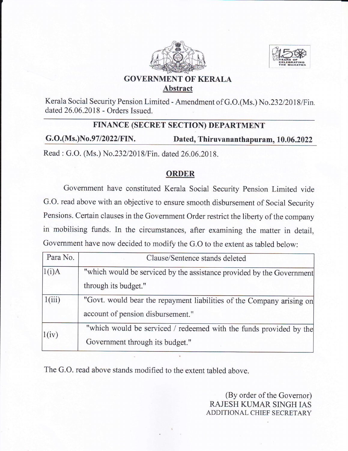



## GOVERNMENT OF KERALA Abstract

Kerala Social Security Pension Limited - Amendment of G.O.(Ms.) No.232/2018/Fin. dated 26.06.2018 - Orders Issued.

## FINANCE (SECRET SECTION) DEPARTMENT

G.O.(Ms.)No.97/2022/FIN. Dated, Thiruvananthapuram, 10.06.2022

Read : G.O. (Ms.) No.232/2018/Fin. dated 26.06.2018.

## ORDER

Government have constituted Kerala Social Security Pension Limited vide G.O. read above with an objective to ensure smooth disbursement of Social Security Pensions. Certain clauses in the Government Order restrict the liberty of the company in mobilising funds. In the circumstances, after examining the matter in detail, Government have now decided to modify the G.O to the extent as tabled below:

| Para No. | Clause/Sentence stands deleted                                        |
|----------|-----------------------------------------------------------------------|
| 1(i)A    | "which would be serviced by the assistance provided by the Government |
|          | through its budget."                                                  |
| 1(iii)   | "Govt. would bear the repayment liabilities of the Company arising on |
|          | account of pension disbursement."                                     |
| 1(iv)    | "which would be serviced / redeemed with the funds provided by the    |
|          | Government through its budget."                                       |

The G.O. read above stands modified to the extent tabled above.

(By order of the Governor) RAJESH KUMAR SINGH IAS ADDITIONAL CHIEF SECRETARY